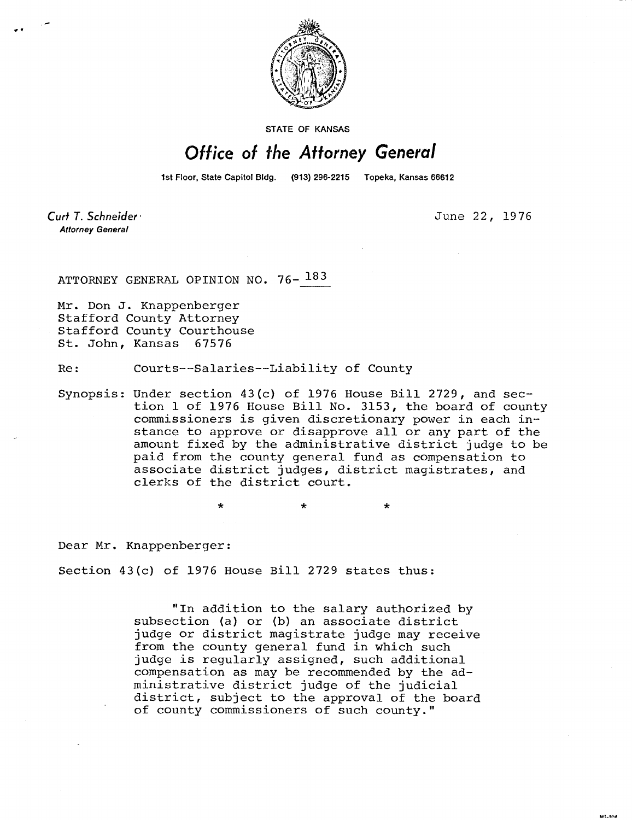

**STATE OF KANSAS** 

## Office of the Attorney General

1st Floor, State Capitol Bldg. (913) 296-2215 Topeka, Kansas 66612

Curt T. Schneider **Attorney General** 

June 22, 1976

MILTON.

ATTORNEY GENERAL OPINION NO. 76- 183

Mr. Don J. Knappenberger Stafford County Attorney Stafford County Courthouse St. John, Kansas 67576

Re: Courts--Salaries--Liability of County

Synopsis: Under section 43(c) of 1976 House Bill 2729, and section 1 of 1976 House Bill No. 3153, the board of county commissioners is given discretionary power in each instance to approve or disapprove all or any part of the amount fixed by the administrative district judge to be paid from the county general fund as compensation to associate district judges, district magistrates, and clerks of the district court.

Dear Mr. Knappenberger:

Section 43(c) of 1976 House Bill 2729 states thus:

÷

"In addition to the salary authorized by subsection (a) or (b) an associate district judge or district magistrate judge may receive from the county general fund in which such judge is regularly assigned, such additional compensation as may be recommended by the administrative district judge of the judicial district, subject to the approval of the board of county commissioners of such county."